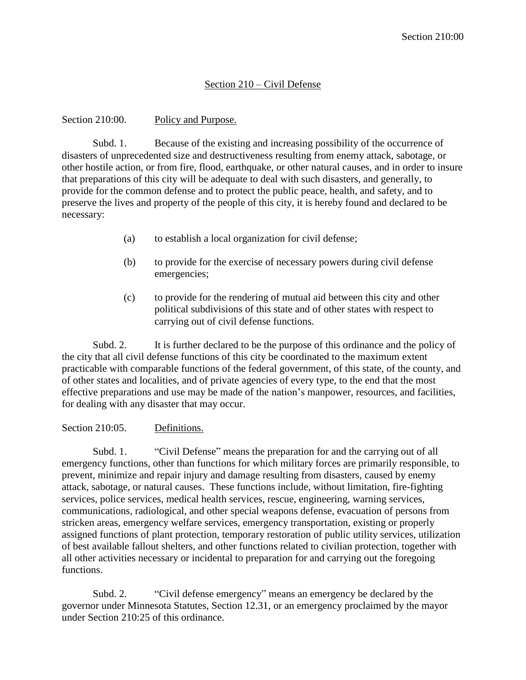# Section 210 – Civil Defense

### Section 210:00. Policy and Purpose.

Subd. 1. Because of the existing and increasing possibility of the occurrence of disasters of unprecedented size and destructiveness resulting from enemy attack, sabotage, or other hostile action, or from fire, flood, earthquake, or other natural causes, and in order to insure that preparations of this city will be adequate to deal with such disasters, and generally, to provide for the common defense and to protect the public peace, health, and safety, and to preserve the lives and property of the people of this city, it is hereby found and declared to be necessary:

- (a) to establish a local organization for civil defense;
- (b) to provide for the exercise of necessary powers during civil defense emergencies;
- (c) to provide for the rendering of mutual aid between this city and other political subdivisions of this state and of other states with respect to carrying out of civil defense functions.

Subd. 2. It is further declared to be the purpose of this ordinance and the policy of the city that all civil defense functions of this city be coordinated to the maximum extent practicable with comparable functions of the federal government, of this state, of the county, and of other states and localities, and of private agencies of every type, to the end that the most effective preparations and use may be made of the nation's manpower, resources, and facilities, for dealing with any disaster that may occur.

### Section 210:05. Definitions.

Subd. 1. "Civil Defense" means the preparation for and the carrying out of all emergency functions, other than functions for which military forces are primarily responsible, to prevent, minimize and repair injury and damage resulting from disasters, caused by enemy attack, sabotage, or natural causes. These functions include, without limitation, fire-fighting services, police services, medical health services, rescue, engineering, warning services, communications, radiological, and other special weapons defense, evacuation of persons from stricken areas, emergency welfare services, emergency transportation, existing or properly assigned functions of plant protection, temporary restoration of public utility services, utilization of best available fallout shelters, and other functions related to civilian protection, together with all other activities necessary or incidental to preparation for and carrying out the foregoing functions.

Subd. 2. "Civil defense emergency" means an emergency be declared by the governor under Minnesota Statutes, Section 12.31, or an emergency proclaimed by the mayor under Section 210:25 of this ordinance.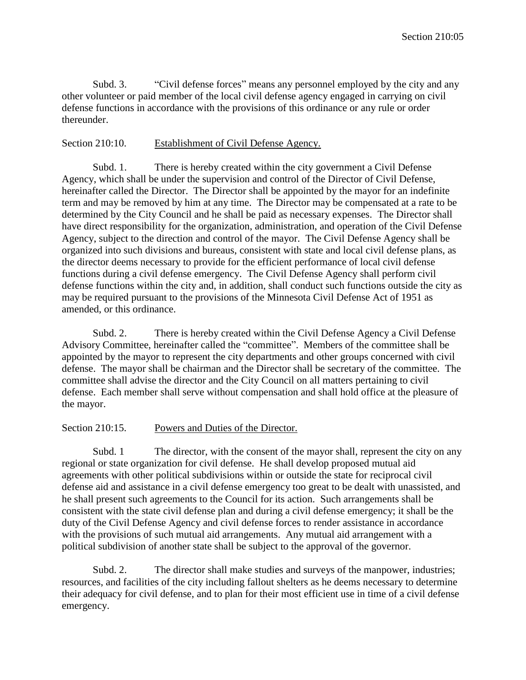Subd. 3. "Civil defense forces" means any personnel employed by the city and any other volunteer or paid member of the local civil defense agency engaged in carrying on civil defense functions in accordance with the provisions of this ordinance or any rule or order thereunder.

# Section 210:10. Establishment of Civil Defense Agency.

Subd. 1. There is hereby created within the city government a Civil Defense Agency, which shall be under the supervision and control of the Director of Civil Defense, hereinafter called the Director. The Director shall be appointed by the mayor for an indefinite term and may be removed by him at any time. The Director may be compensated at a rate to be determined by the City Council and he shall be paid as necessary expenses. The Director shall have direct responsibility for the organization, administration, and operation of the Civil Defense Agency, subject to the direction and control of the mayor. The Civil Defense Agency shall be organized into such divisions and bureaus, consistent with state and local civil defense plans, as the director deems necessary to provide for the efficient performance of local civil defense functions during a civil defense emergency. The Civil Defense Agency shall perform civil defense functions within the city and, in addition, shall conduct such functions outside the city as may be required pursuant to the provisions of the Minnesota Civil Defense Act of 1951 as amended, or this ordinance.

Subd. 2. There is hereby created within the Civil Defense Agency a Civil Defense Advisory Committee, hereinafter called the "committee". Members of the committee shall be appointed by the mayor to represent the city departments and other groups concerned with civil defense. The mayor shall be chairman and the Director shall be secretary of the committee. The committee shall advise the director and the City Council on all matters pertaining to civil defense. Each member shall serve without compensation and shall hold office at the pleasure of the mayor.

# Section 210:15. Powers and Duties of the Director.

Subd. 1 The director, with the consent of the mayor shall, represent the city on any regional or state organization for civil defense. He shall develop proposed mutual aid agreements with other political subdivisions within or outside the state for reciprocal civil defense aid and assistance in a civil defense emergency too great to be dealt with unassisted, and he shall present such agreements to the Council for its action. Such arrangements shall be consistent with the state civil defense plan and during a civil defense emergency; it shall be the duty of the Civil Defense Agency and civil defense forces to render assistance in accordance with the provisions of such mutual aid arrangements. Any mutual aid arrangement with a political subdivision of another state shall be subject to the approval of the governor.

Subd. 2. The director shall make studies and surveys of the manpower, industries; resources, and facilities of the city including fallout shelters as he deems necessary to determine their adequacy for civil defense, and to plan for their most efficient use in time of a civil defense emergency.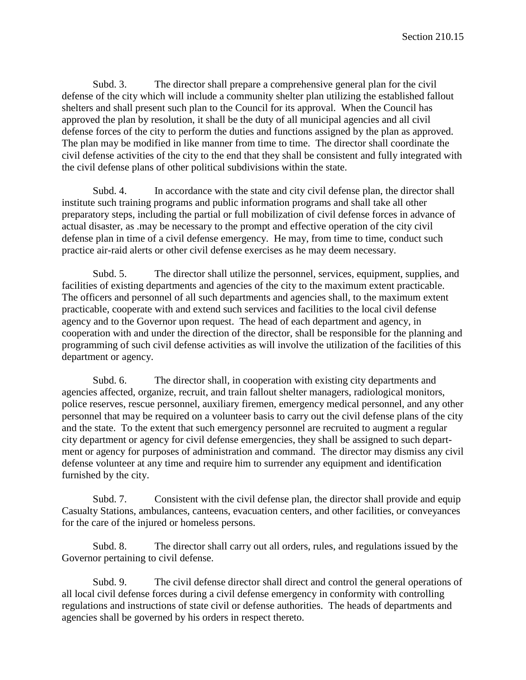Subd. 3. The director shall prepare a comprehensive general plan for the civil defense of the city which will include a community shelter plan utilizing the established fallout shelters and shall present such plan to the Council for its approval. When the Council has approved the plan by resolution, it shall be the duty of all municipal agencies and all civil defense forces of the city to perform the duties and functions assigned by the plan as approved. The plan may be modified in like manner from time to time. The director shall coordinate the civil defense activities of the city to the end that they shall be consistent and fully integrated with the civil defense plans of other political subdivisions within the state.

Subd. 4. In accordance with the state and city civil defense plan, the director shall institute such training programs and public information programs and shall take all other preparatory steps, including the partial or full mobilization of civil defense forces in advance of actual disaster, as .may be necessary to the prompt and effective operation of the city civil defense plan in time of a civil defense emergency. He may, from time to time, conduct such practice air-raid alerts or other civil defense exercises as he may deem necessary.

Subd. 5. The director shall utilize the personnel, services, equipment, supplies, and facilities of existing departments and agencies of the city to the maximum extent practicable. The officers and personnel of all such departments and agencies shall, to the maximum extent practicable, cooperate with and extend such services and facilities to the local civil defense agency and to the Governor upon request. The head of each department and agency, in cooperation with and under the direction of the director, shall be responsible for the planning and programming of such civil defense activities as will involve the utilization of the facilities of this department or agency.

Subd. 6. The director shall, in cooperation with existing city departments and agencies affected, organize, recruit, and train fallout shelter managers, radiological monitors, police reserves, rescue personnel, auxiliary firemen, emergency medical personnel, and any other personnel that may be required on a volunteer basis to carry out the civil defense plans of the city and the state. To the extent that such emergency personnel are recruited to augment a regular city department or agency for civil defense emergencies, they shall be assigned to such department or agency for purposes of administration and command. The director may dismiss any civil defense volunteer at any time and require him to surrender any equipment and identification furnished by the city.

Subd. 7. Consistent with the civil defense plan, the director shall provide and equip Casualty Stations, ambulances, canteens, evacuation centers, and other facilities, or conveyances for the care of the injured or homeless persons.

Subd. 8. The director shall carry out all orders, rules, and regulations issued by the Governor pertaining to civil defense.

Subd. 9. The civil defense director shall direct and control the general operations of all local civil defense forces during a civil defense emergency in conformity with controlling regulations and instructions of state civil or defense authorities. The heads of departments and agencies shall be governed by his orders in respect thereto.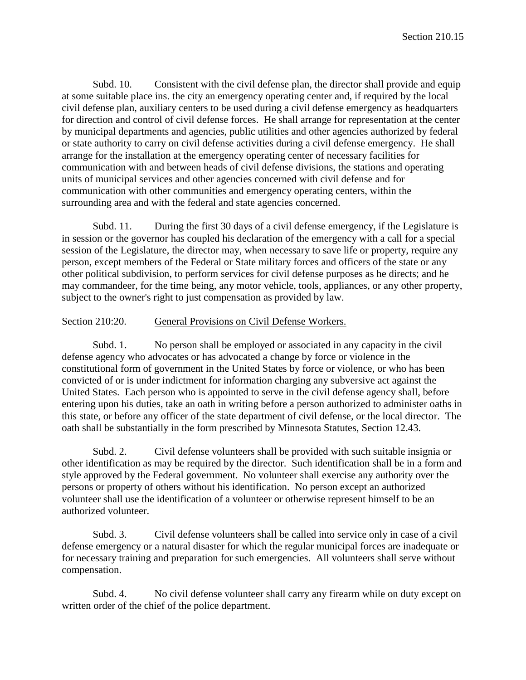Subd. 10. Consistent with the civil defense plan, the director shall provide and equip at some suitable place ins. the city an emergency operating center and, if required by the local civil defense plan, auxiliary centers to be used during a civil defense emergency as headquarters for direction and control of civil defense forces. He shall arrange for representation at the center by municipal departments and agencies, public utilities and other agencies authorized by federal or state authority to carry on civil defense activities during a civil defense emergency. He shall arrange for the installation at the emergency operating center of necessary facilities for communication with and between heads of civil defense divisions, the stations and operating units of municipal services and other agencies concerned with civil defense and for communication with other communities and emergency operating centers, within the surrounding area and with the federal and state agencies concerned.

Subd. 11. During the first 30 days of a civil defense emergency, if the Legislature is in session or the governor has coupled his declaration of the emergency with a call for a special session of the Legislature, the director may, when necessary to save life or property, require any person, except members of the Federal or State military forces and officers of the state or any other political subdivision, to perform services for civil defense purposes as he directs; and he may commandeer, for the time being, any motor vehicle, tools, appliances, or any other property, subject to the owner's right to just compensation as provided by law.

### Section 210:20. General Provisions on Civil Defense Workers.

Subd. 1. No person shall be employed or associated in any capacity in the civil defense agency who advocates or has advocated a change by force or violence in the constitutional form of government in the United States by force or violence, or who has been convicted of or is under indictment for information charging any subversive act against the United States. Each person who is appointed to serve in the civil defense agency shall, before entering upon his duties, take an oath in writing before a person authorized to administer oaths in this state, or before any officer of the state department of civil defense, or the local director. The oath shall be substantially in the form prescribed by Minnesota Statutes, Section 12.43.

Subd. 2. Civil defense volunteers shall be provided with such suitable insignia or other identification as may be required by the director. Such identification shall be in a form and style approved by the Federal government. No volunteer shall exercise any authority over the persons or property of others without his identification. No person except an authorized volunteer shall use the identification of a volunteer or otherwise represent himself to be an authorized volunteer.

Subd. 3. Civil defense volunteers shall be called into service only in case of a civil defense emergency or a natural disaster for which the regular municipal forces are inadequate or for necessary training and preparation for such emergencies. All volunteers shall serve without compensation.

Subd. 4. No civil defense volunteer shall carry any firearm while on duty except on written order of the chief of the police department.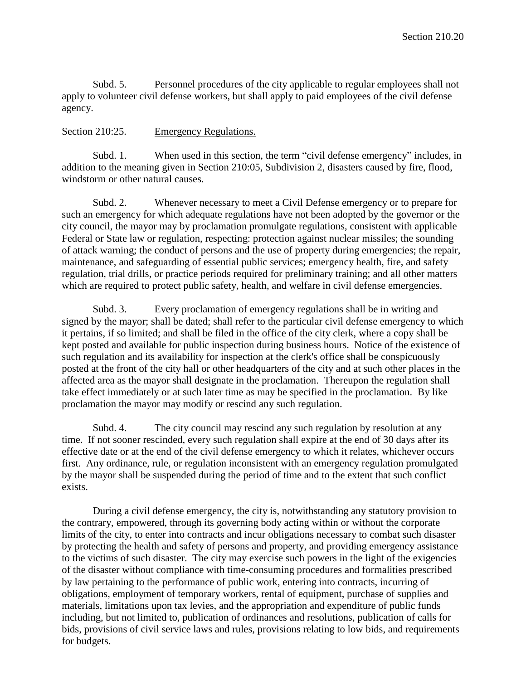Subd. 5. Personnel procedures of the city applicable to regular employees shall not apply to volunteer civil defense workers, but shall apply to paid employees of the civil defense agency.

# Section 210:25. Emergency Regulations.

Subd. 1. When used in this section, the term "civil defense emergency" includes, in addition to the meaning given in Section 210:05, Subdivision 2, disasters caused by fire, flood, windstorm or other natural causes.

Subd. 2. Whenever necessary to meet a Civil Defense emergency or to prepare for such an emergency for which adequate regulations have not been adopted by the governor or the city council, the mayor may by proclamation promulgate regulations, consistent with applicable Federal or State law or regulation, respecting: protection against nuclear missiles; the sounding of attack warning; the conduct of persons and the use of property during emergencies; the repair, maintenance, and safeguarding of essential public services; emergency health, fire, and safety regulation, trial drills, or practice periods required for preliminary training; and all other matters which are required to protect public safety, health, and welfare in civil defense emergencies.

Subd. 3. Every proclamation of emergency regulations shall be in writing and signed by the mayor; shall be dated; shall refer to the particular civil defense emergency to which it pertains, if so limited; and shall be filed in the office of the city clerk, where a copy shall be kept posted and available for public inspection during business hours. Notice of the existence of such regulation and its availability for inspection at the clerk's office shall be conspicuously posted at the front of the city hall or other headquarters of the city and at such other places in the affected area as the mayor shall designate in the proclamation. Thereupon the regulation shall take effect immediately or at such later time as may be specified in the proclamation. By like proclamation the mayor may modify or rescind any such regulation.

Subd. 4. The city council may rescind any such regulation by resolution at any time. If not sooner rescinded, every such regulation shall expire at the end of 30 days after its effective date or at the end of the civil defense emergency to which it relates, whichever occurs first. Any ordinance, rule, or regulation inconsistent with an emergency regulation promulgated by the mayor shall be suspended during the period of time and to the extent that such conflict exists.

During a civil defense emergency, the city is, notwithstanding any statutory provision to the contrary, empowered, through its governing body acting within or without the corporate limits of the city, to enter into contracts and incur obligations necessary to combat such disaster by protecting the health and safety of persons and property, and providing emergency assistance to the victims of such disaster. The city may exercise such powers in the light of the exigencies of the disaster without compliance with time-consuming procedures and formalities prescribed by law pertaining to the performance of public work, entering into contracts, incurring of obligations, employment of temporary workers, rental of equipment, purchase of supplies and materials, limitations upon tax levies, and the appropriation and expenditure of public funds including, but not limited to, publication of ordinances and resolutions, publication of calls for bids, provisions of civil service laws and rules, provisions relating to low bids, and requirements for budgets.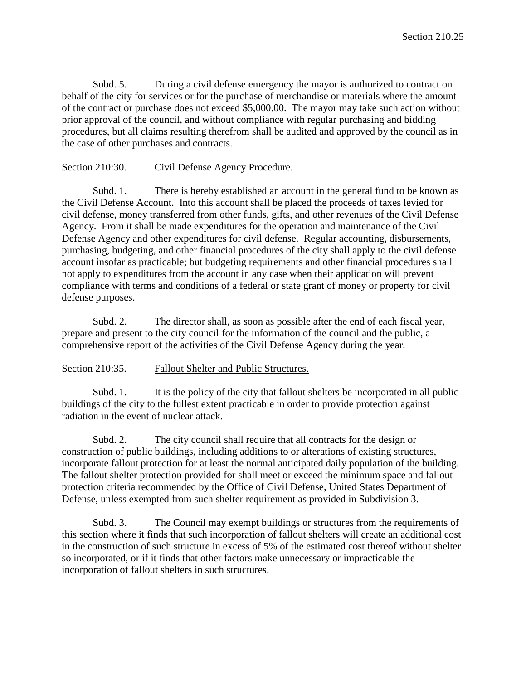Subd. 5. During a civil defense emergency the mayor is authorized to contract on behalf of the city for services or for the purchase of merchandise or materials where the amount of the contract or purchase does not exceed \$5,000.00. The mayor may take such action without prior approval of the council, and without compliance with regular purchasing and bidding procedures, but all claims resulting therefrom shall be audited and approved by the council as in the case of other purchases and contracts.

#### Section 210:30. Civil Defense Agency Procedure.

Subd. 1. There is hereby established an account in the general fund to be known as the Civil Defense Account. Into this account shall be placed the proceeds of taxes levied for civil defense, money transferred from other funds, gifts, and other revenues of the Civil Defense Agency. From it shall be made expenditures for the operation and maintenance of the Civil Defense Agency and other expenditures for civil defense. Regular accounting, disbursements, purchasing, budgeting, and other financial procedures of the city shall apply to the civil defense account insofar as practicable; but budgeting requirements and other financial procedures shall not apply to expenditures from the account in any case when their application will prevent compliance with terms and conditions of a federal or state grant of money or property for civil defense purposes.

Subd. 2. The director shall, as soon as possible after the end of each fiscal year, prepare and present to the city council for the information of the council and the public, a comprehensive report of the activities of the Civil Defense Agency during the year.

#### Section 210:35. Fallout Shelter and Public Structures.

Subd. 1. It is the policy of the city that fallout shelters be incorporated in all public buildings of the city to the fullest extent practicable in order to provide protection against radiation in the event of nuclear attack.

Subd. 2. The city council shall require that all contracts for the design or construction of public buildings, including additions to or alterations of existing structures, incorporate fallout protection for at least the normal anticipated daily population of the building. The fallout shelter protection provided for shall meet or exceed the minimum space and fallout protection criteria recommended by the Office of Civil Defense, United States Department of Defense, unless exempted from such shelter requirement as provided in Subdivision 3.

Subd. 3. The Council may exempt buildings or structures from the requirements of this section where it finds that such incorporation of fallout shelters will create an additional cost in the construction of such structure in excess of 5% of the estimated cost thereof without shelter so incorporated, or if it finds that other factors make unnecessary or impracticable the incorporation of fallout shelters in such structures.